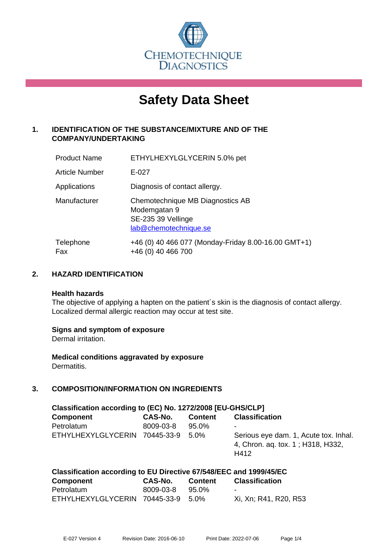

# **Safety Data Sheet**

# **1. IDENTIFICATION OF THE SUBSTANCE/MIXTURE AND OF THE COMPANY/UNDERTAKING**

| <b>Product Name</b>   | ETHYLHEXYLGLYCERIN 5.0% pet                                                                     |
|-----------------------|-------------------------------------------------------------------------------------------------|
| <b>Article Number</b> | $E - 027$                                                                                       |
| Applications          | Diagnosis of contact allergy.                                                                   |
| Manufacturer          | Chemotechnique MB Diagnostics AB<br>Modemgatan 9<br>SE-235 39 Vellinge<br>lab@chemotechnique.se |
| Telephone<br>Fax      | +46 (0) 40 466 077 (Monday-Friday 8.00-16.00 GMT+1)<br>+46 (0) 40 466 700                       |

## **2. HAZARD IDENTIFICATION**

#### **Health hazards**

The objective of applying a hapten on the patient's skin is the diagnosis of contact allergy. Localized dermal allergic reaction may occur at test site.

## **Signs and symptom of exposure**

Dermal irritation.

**Medical conditions aggravated by exposure** Dermatitis.

# **3. COMPOSITION/INFORMATION ON INGREDIENTS**

| Classification according to (EC) No. 1272/2008 [EU-GHS/CLP] |           |                |                                                                                    |  |  |
|-------------------------------------------------------------|-----------|----------------|------------------------------------------------------------------------------------|--|--|
| <b>Component</b>                                            | CAS-No.   | <b>Content</b> | <b>Classification</b>                                                              |  |  |
| Petrolatum                                                  | 8009-03-8 | 95.0%          | ۰                                                                                  |  |  |
| ETHYLHEXYLGLYCERIN 70445-33-9                               |           | 5.0%           | Serious eye dam. 1, Acute tox. Inhal.<br>4, Chron. ag. tox. 1; H318, H332,<br>H412 |  |  |

| Classification according to EU Directive 67/548/EEC and 1999/45/EC |           |                |                       |  |  |
|--------------------------------------------------------------------|-----------|----------------|-----------------------|--|--|
| Component                                                          | CAS-No.   | <b>Content</b> | <b>Classification</b> |  |  |
| Petrolatum                                                         | 8009-03-8 | 95.0%          | $\sim$                |  |  |
| ETHYLHEXYLGLYCERIN 70445-33-9 5.0%                                 |           |                | Xi, Xn; R41, R20, R53 |  |  |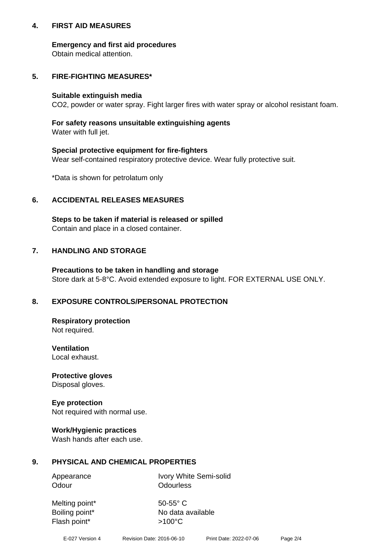## **4. FIRST AID MEASURES**

## **Emergency and first aid procedures**

Obtain medical attention.

## **5. FIRE-FIGHTING MEASURES\***

#### **Suitable extinguish media**

CO2, powder or water spray. Fight larger fires with water spray or alcohol resistant foam.

# **For safety reasons unsuitable extinguishing agents**

Water with full jet.

## **Special protective equipment for fire-fighters**

Wear self-contained respiratory protective device. Wear fully protective suit.

\*Data is shown for petrolatum only

## **6. ACCIDENTAL RELEASES MEASURES**

**Steps to be taken if material is released or spilled** Contain and place in a closed container.

# **7. HANDLING AND STORAGE**

**Precautions to be taken in handling and storage** Store dark at 5-8°C. Avoid extended exposure to light. FOR EXTERNAL USE ONLY.

# **8. EXPOSURE CONTROLS/PERSONAL PROTECTION**

**Respiratory protection** Not required.

**Ventilation** Local exhaust.

**Protective gloves** Disposal gloves.

#### **Eye protection** Not required with normal use.

## **Work/Hygienic practices**

Wash hands after each use.

## **9. PHYSICAL AND CHEMICAL PROPERTIES**

Odour **Odourless** 

Appearance Ivory White Semi-solid

Melting point\* 50-55° C Flash point\* >100°C

Boiling point\* No data available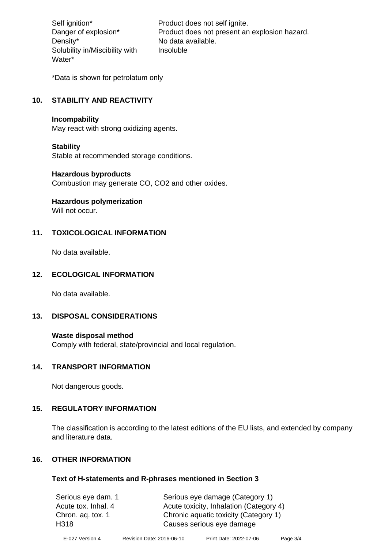Density\* No data available. Solubility in/Miscibility with Water\*

Self ignition\* Product does not self ignite. Danger of explosion\* Product does not present an explosion hazard. Insoluble

\*Data is shown for petrolatum only

# **10. STABILITY AND REACTIVITY**

#### **Incompability**

May react with strong oxidizing agents.

#### **Stability**

Stable at recommended storage conditions.

#### **Hazardous byproducts**

Combustion may generate CO, CO2 and other oxides.

**Hazardous polymerization**

Will not occur.

## **11. TOXICOLOGICAL INFORMATION**

No data available.

#### **12. ECOLOGICAL INFORMATION**

No data available.

## **13. DISPOSAL CONSIDERATIONS**

#### **Waste disposal method**

Comply with federal, state/provincial and local regulation.

#### **14. TRANSPORT INFORMATION**

Not dangerous goods.

## **15. REGULATORY INFORMATION**

The classification is according to the latest editions of the EU lists, and extended by company and literature data.

#### **16. OTHER INFORMATION**

#### **Text of H-statements and R-phrases mentioned in Section 3**

| Serious eye dam. 1  | Serious eye damage (Category 1)         |
|---------------------|-----------------------------------------|
| Acute tox. Inhal. 4 | Acute toxicity, Inhalation (Category 4) |
| Chron. aq. tox. 1   | Chronic aquatic toxicity (Category 1)   |
| H318                | Causes serious eye damage               |
|                     |                                         |